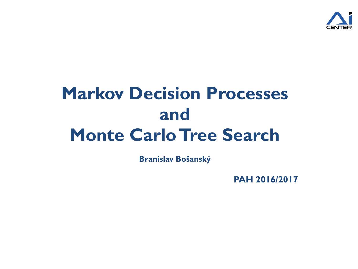

# **Markov Decision Processes and Monte Carlo Tree Search**

**Branislav Bošanský**

**PAH 2016/2017**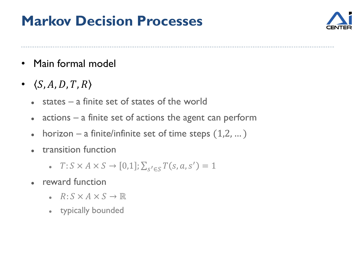#### **Markov Decision Processes**



- Main formal model
- $\bullet \quad \langle S, A, D, T, R \rangle$ 
	- $\bullet$  states a finite set of states of the world
	- actions a finite set of actions the agent can perform
	- horizon a finite/infinite set of time steps  $(1,2,...)$
	- transition function
		- $T: S \times A \times S \to [0,1]; \sum_{s' \in S} T(s, a, s') = 1$
	- reward function
		- $\cdot$   $R: S \times A \times S \rightarrow \mathbb{R}$
		- typically bounded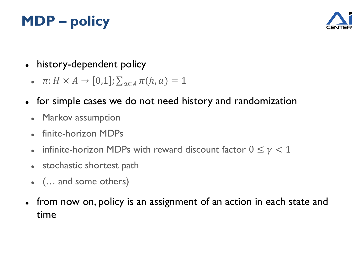## **MDP – policy**



- history-dependent policy
	- $\cdot$   $\pi: H \times A \rightarrow [0,1]; \sum_{a \in A} \pi(h, a) = 1$
- for simple cases we do not need history and randomization
	- Markov assumption
	- finite-horizon MDPs
	- infinite-horizon MDPs with reward discount factor  $0 \le \gamma < 1$
	- stochastic shortest path
	- (… and some others)
- from now on, policy is an assignment of an action in each state and time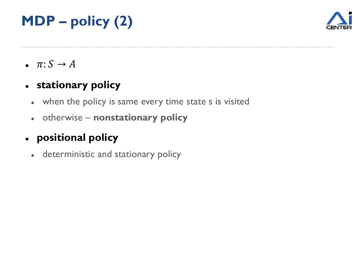### **MDP – policy (2)**



 $\bullet$   $\pi: S \rightarrow A$ 

#### **stationary policy**

- when the policy is same every time state s is visited
- otherwise **nonstationary policy**

#### **positional policy**

deterministic and stationary policy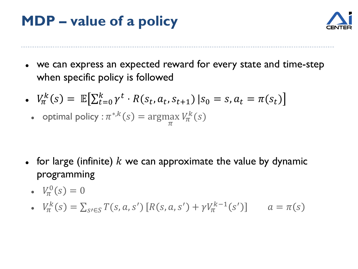#### **MDP – value of a policy**



- we can express an expected reward for every state and time-step when specific policy is followed
- $V_{\pi}^{k}(s) = \mathbb{E} \Big[ \sum_{t=0}^{k} \gamma^{t} \cdot R(s_{t}, a_{t}, s_{t+1}) | s_{0} = s, a_{t} = \pi(s_{t}) \Big]$ 
	- optimal policy :  $\pi^{*,k}(s) = \text{argmax}$  $\pi$  $V_{\pi}^{k}(s)$

- for large (infinite)  $k$  we can approximate the value by dynamic programming
	- $V_{\pi}^{0}(s) = 0$

• 
$$
V_{\pi}^{k}(s) = \sum_{s \in S} T(s, a, s') [R(s, a, s') + \gamma V_{\pi}^{k-1}(s')] \qquad a = \pi(s)
$$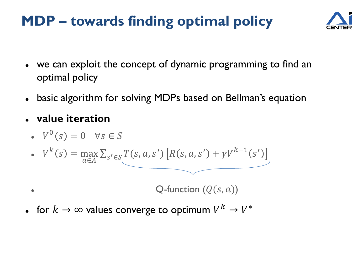#### **MDP – towards finding optimal policy**



- we can exploit the concept of dynamic programming to find an optimal policy
- basic algorithm for solving MDPs based on Bellman's equation
- **value iteration**
	- $V^{0}(s) = 0 \quad \forall s \in S$

• 
$$
V^{k}(s) = \max_{a \in A} \sum_{s' \in S} T(s, a, s') [R(s, a, s') + \gamma V^{k-1}(s')]
$$

Q-function ((, ))

• for  $k\to\infty$  values converge to optimum  $V^k\to V^*$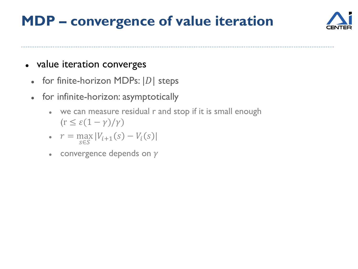#### **MDP – convergence of value iteration**



#### • value iteration converges

- for finite-horizon MDPs:  $|D|$  steps
- for infinite-horizon: asymptotically
	- we can measure residual r and stop if it is small enough  $(r \leq \varepsilon(1-\gamma)/\gamma)$

• 
$$
r = \max_{s \in S} |V_{i+1}(s) - V_i(s)|
$$

• convergence depends on  $\gamma$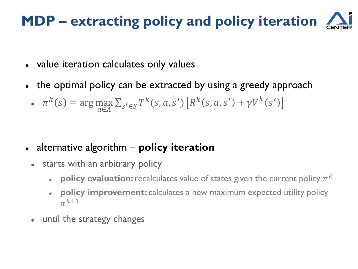## **MDP – extracting policy and policy iteration**

- value iteration calculates only values
- the optimal policy can be extracted by using a greedy approach
	- $\pi^k(s) = \arg \max$  $\max_{a \in A} \sum_{s' \in S} T^k(s, a, s') \left[R^k(s, a, s') + \gamma V^k(s')\right]$

- alternative algorithm **policy iteration**
	- starts with an arbitrary policy
		- $\,$  **policy evaluation:** <code>recalculates</code> value of states given the current policy  $\pi^k$
		- **policy improvement:** calculates a new maximum expected utility policy  $\pi^{k+1}$
	- until the strategy changes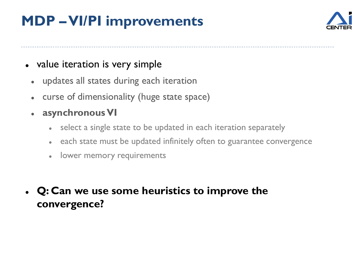#### **MDP –VI/PI improvements**



#### • value iteration is very simple

- updates all states during each iteration
- curse of dimensionality (huge state space)
- **asynchronous VI**
	- select a single state to be updated in each iteration separately
	- each state must be updated infinitely often to guarantee convergence
	- lower memory requirements
- **Q: Can we use some heuristics to improve the convergence?**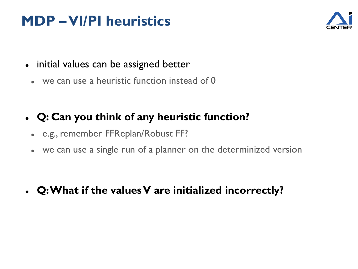#### **MDP –VI/PI heuristics**



- initial values can be assigned better
	- we can use a heuristic function instead of 0

#### **Q: Can you think of any heuristic function?**

- e.g., remember FFReplan/Robust FF?
- we can use a single run of a planner on the determinized version

**Q: What if the values V are initialized incorrectly?**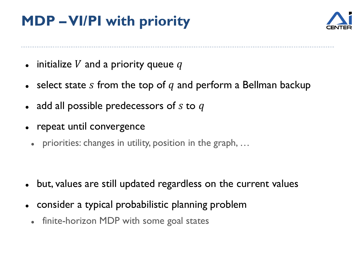#### **MDP –VI/PI with priority**



- $\bullet$  initialize V and a priority queue q
- $\bullet$  select state s from the top of q and perform a Bellman backup
- add all possible predecessors of  $s$  to  $q$
- repeat until convergence
	- priorities: changes in utility, position in the graph, …

- but, values are still updated regardless on the current values
- consider a typical probabilistic planning problem
	- finite-horizon MDP with some goal states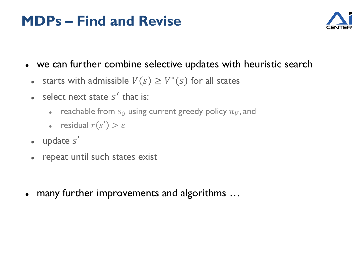#### **MDPs – Find and Revise**



- we can further combine selective updates with heuristic search
	- starts with admissible  $V(s) \geq V^*(s)$  for all states
	- select next state  $s'$  that is:
		- reachable from  $s_0$  using current greedy policy  $\pi_V$ , and
		- residual  $r(s') > \varepsilon$
	- $\bullet$  update  $s'$
	- repeat until such states exist
- many further improvements and algorithms …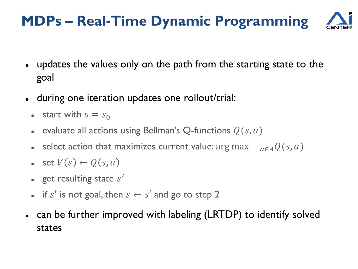### **MDPs – Real-Time Dynamic Programming**

- updates the values only on the path from the starting state to the goal
- during one iteration updates one rollout/trial:
	- start with  $s = s_0$
	- evaluate all actions using Bellman's Q-functions  $Q(s, a)$
	- select action that maximizes current value: arg max  $_{q \in A} Q(s, a)$
	- set  $V(s) \leftarrow Q(s, a)$
	- get resulting state  $s'$
	- if s' is not goal, then  $s \leftarrow s'$  and go to step 2
- can be further improved with labeling (LRTDP) to identify solved states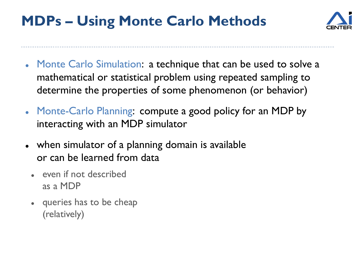

- Monte Carlo Simulation: a technique that can be used to solve a mathematical or statistical problem using repeated sampling to determine the properties of some phenomenon (or behavior)
- Monte-Carlo Planning: compute a good policy for an MDP by interacting with an MDP simulator
- when simulator of a planning domain is available or can be learned from data
	- even if not described as a MDP
	- queries has to be cheap (relatively)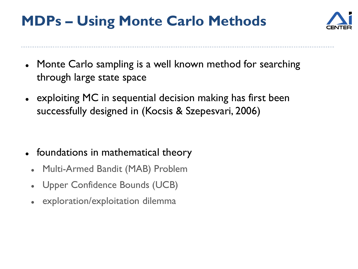

- Monte Carlo sampling is a well known method for searching through large state space
- exploiting MC in sequential decision making has first been successfully designed in (Kocsis & Szepesvari, 2006)

- foundations in mathematical theory
	- Multi-Armed Bandit (MAB) Problem
	- Upper Confidence Bounds (UCB)
	- exploration/exploitation dilemma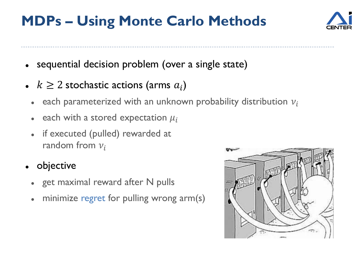

- sequential decision problem (over a single state)
- $k \geq 2$  stochastic actions (arms  $a_i$ )
	- each parameterized with an unknown probability distribution  $v_i$
	- each with a stored expectation  $\mu_i$
	- if executed (pulled) rewarded at random from  $v_i$
- objective
	- get maximal reward after N pulls
	- minimize regret for pulling wrong arm(s)

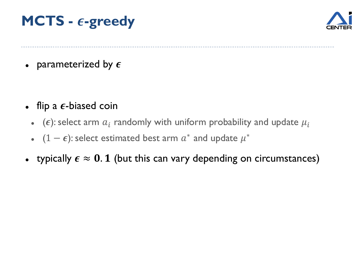#### **MCTS** -  $\epsilon$ -greedy



• parameterized by  $\epsilon$ 

- flip a  $\epsilon$ -biased coin
	- ( $\epsilon$ ): select arm  $a_i$  randomly with uniform probability and update  $\mu_i$
	- $(1 \epsilon)$ : select estimated best arm  $a^*$  and update  $\mu^*$
- typically  $\epsilon \approx 0.1$  (but this can vary depending on circumstances)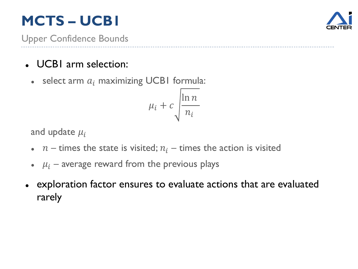#### **MCTS – UCB1**



Upper Confidence Bounds

- UCB1 arm selection:
	- $\bullet$  select arm  $a_i$  maximizing UCB1 formula:

$$
\mu_i + c \sqrt{\frac{\ln n}{n_i}}
$$

and update  $\mu_i$ 

- $n-$  times the state is visited;  $n<sub>i</sub>$  times the action is visited
- $\mu_i$  average reward from the previous plays
- exploration factor ensures to evaluate actions that are evaluated rarely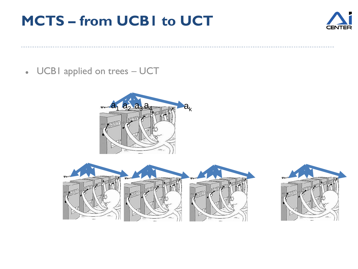#### **MCTS – from UCB1 to UCT**



UCB1 applied on trees – UCT





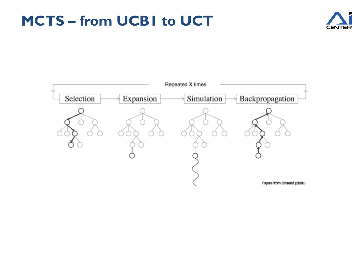#### **MCTS – from UCB1 to UCT**



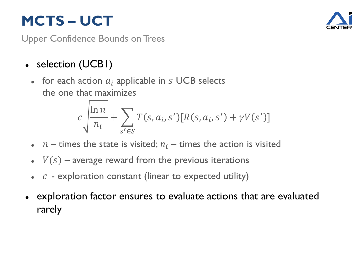### **MCTS – UCT**



Upper Confidence Bounds on Trees

- selection (UCBI)
	- for each action  $a_i$  applicable in  $s$  UCB selects the one that maximizes

$$
c \sqrt{\frac{\ln n}{n_i} + \sum_{s' \in S} T(s, a_i, s') [R(s, a_i, s') + \gamma V(s')]}
$$

- $n-$  times the state is visited;  $n<sub>i</sub>$  times the action is visited
- $\bullet$   $V(s)$  average reward from the previous iterations
- $\cdot$   $c$  exploration constant (linear to expected utility)
- exploration factor ensures to evaluate actions that are evaluated rarely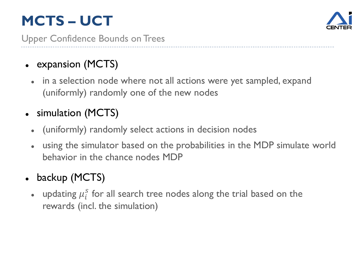## **MCTS – UCT**



Upper Confidence Bounds on Trees

- expansion (MCTS)
	- in a selection node where not all actions were yet sampled, expand (uniformly) randomly one of the new nodes
- simulation (MCTS)
	- (uniformly) randomly select actions in decision nodes
	- using the simulator based on the probabilities in the MDP simulate world behavior in the chance nodes MDP
- backup (MCTS)
	- updating  $\mu_i^S$  for all search tree nodes along the trial based on the rewards (incl. the simulation)